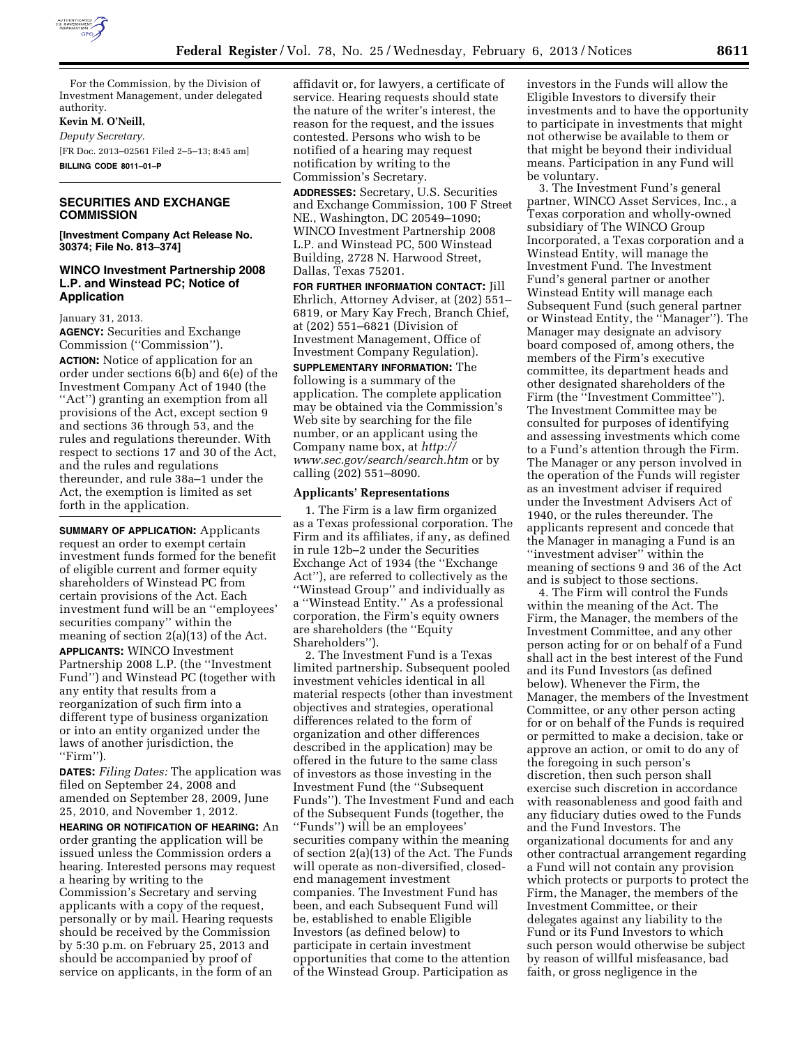

For the Commission, by the Division of Investment Management, under delegated authority.

#### **Kevin M. O'Neill,**

*Deputy Secretary.*  [FR Doc. 2013–02561 Filed 2–5–13; 8:45 am] **BILLING CODE 8011–01–P** 

# **SECURITIES AND EXCHANGE COMMISSION**

**[Investment Company Act Release No. 30374; File No. 813–374]** 

## **WINCO Investment Partnership 2008 L.P. and Winstead PC; Notice of Application**

January 31, 2013.

**AGENCY:** Securities and Exchange Commission (''Commission'').

**ACTION:** Notice of application for an order under sections 6(b) and 6(e) of the Investment Company Act of 1940 (the ''Act'') granting an exemption from all provisions of the Act, except section 9 and sections 36 through 53, and the rules and regulations thereunder. With respect to sections 17 and 30 of the Act, and the rules and regulations thereunder, and rule 38a–1 under the Act, the exemption is limited as set forth in the application.

**SUMMARY OF APPLICATION:** Applicants request an order to exempt certain investment funds formed for the benefit of eligible current and former equity shareholders of Winstead PC from certain provisions of the Act. Each investment fund will be an ''employees' securities company'' within the meaning of section 2(a)(13) of the Act. **APPLICANTS:** WINCO Investment Partnership 2008 L.P. (the ''Investment Fund'') and Winstead PC (together with any entity that results from a reorganization of such firm into a different type of business organization or into an entity organized under the laws of another jurisdiction, the ''Firm'').

**DATES:** *Filing Dates:* The application was filed on September 24, 2008 and amended on September 28, 2009, June 25, 2010, and November 1, 2012.

**HEARING OR NOTIFICATION OF HEARING:** An order granting the application will be issued unless the Commission orders a hearing. Interested persons may request a hearing by writing to the Commission's Secretary and serving applicants with a copy of the request, personally or by mail. Hearing requests should be received by the Commission by 5:30 p.m. on February 25, 2013 and should be accompanied by proof of service on applicants, in the form of an

affidavit or, for lawyers, a certificate of service. Hearing requests should state the nature of the writer's interest, the reason for the request, and the issues contested. Persons who wish to be notified of a hearing may request notification by writing to the Commission's Secretary.

**ADDRESSES:** Secretary, U.S. Securities and Exchange Commission, 100 F Street NE., Washington, DC 20549–1090; WINCO Investment Partnership 2008 L.P. and Winstead PC, 500 Winstead Building, 2728 N. Harwood Street, Dallas, Texas 75201.

**FOR FURTHER INFORMATION CONTACT:** Jill Ehrlich, Attorney Adviser, at (202) 551– 6819, or Mary Kay Frech, Branch Chief, at (202) 551–6821 (Division of Investment Management, Office of Investment Company Regulation).

**SUPPLEMENTARY INFORMATION:** The following is a summary of the application. The complete application may be obtained via the Commission's Web site by searching for the file number, or an applicant using the Company name box, at *[http://](http://www.sec.gov/search/search.htm) [www.sec.gov/search/search.htm](http://www.sec.gov/search/search.htm)* or by calling (202) 551–8090.

### **Applicants' Representations**

1. The Firm is a law firm organized as a Texas professional corporation. The Firm and its affiliates, if any, as defined in rule 12b–2 under the Securities Exchange Act of 1934 (the ''Exchange Act''), are referred to collectively as the ''Winstead Group'' and individually as a ''Winstead Entity.'' As a professional corporation, the Firm's equity owners are shareholders (the ''Equity Shareholders'').

2. The Investment Fund is a Texas limited partnership. Subsequent pooled investment vehicles identical in all material respects (other than investment objectives and strategies, operational differences related to the form of organization and other differences described in the application) may be offered in the future to the same class of investors as those investing in the Investment Fund (the ''Subsequent Funds''). The Investment Fund and each of the Subsequent Funds (together, the ''Funds'') will be an employees' securities company within the meaning of section 2(a)(13) of the Act. The Funds will operate as non-diversified, closedend management investment companies. The Investment Fund has been, and each Subsequent Fund will be, established to enable Eligible Investors (as defined below) to participate in certain investment opportunities that come to the attention of the Winstead Group. Participation as

investors in the Funds will allow the Eligible Investors to diversify their investments and to have the opportunity to participate in investments that might not otherwise be available to them or that might be beyond their individual means. Participation in any Fund will be voluntary.

3. The Investment Fund's general partner, WINCO Asset Services, Inc., a Texas corporation and wholly-owned subsidiary of The WINCO Group Incorporated, a Texas corporation and a Winstead Entity, will manage the Investment Fund. The Investment Fund's general partner or another Winstead Entity will manage each Subsequent Fund (such general partner or Winstead Entity, the ''Manager''). The Manager may designate an advisory board composed of, among others, the members of the Firm's executive committee, its department heads and other designated shareholders of the Firm (the ''Investment Committee''). The Investment Committee may be consulted for purposes of identifying and assessing investments which come to a Fund's attention through the Firm. The Manager or any person involved in the operation of the Funds will register as an investment adviser if required under the Investment Advisers Act of 1940, or the rules thereunder. The applicants represent and concede that the Manager in managing a Fund is an ''investment adviser'' within the meaning of sections 9 and 36 of the Act and is subject to those sections.

4. The Firm will control the Funds within the meaning of the Act. The Firm, the Manager, the members of the Investment Committee, and any other person acting for or on behalf of a Fund shall act in the best interest of the Fund and its Fund Investors (as defined below). Whenever the Firm, the Manager, the members of the Investment Committee, or any other person acting for or on behalf of the Funds is required or permitted to make a decision, take or approve an action, or omit to do any of the foregoing in such person's discretion, then such person shall exercise such discretion in accordance with reasonableness and good faith and any fiduciary duties owed to the Funds and the Fund Investors. The organizational documents for and any other contractual arrangement regarding a Fund will not contain any provision which protects or purports to protect the Firm, the Manager, the members of the Investment Committee, or their delegates against any liability to the Fund or its Fund Investors to which such person would otherwise be subject by reason of willful misfeasance, bad faith, or gross negligence in the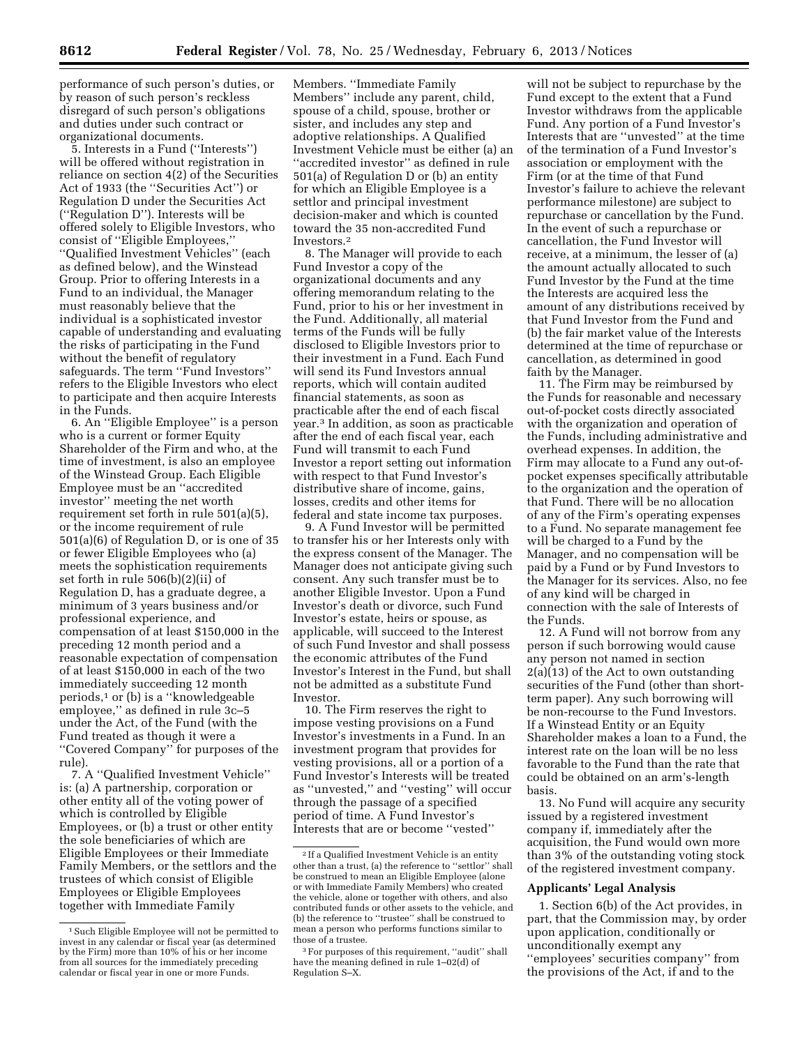performance of such person's duties, or by reason of such person's reckless disregard of such person's obligations and duties under such contract or organizational documents.

5. Interests in a Fund (''Interests'') will be offered without registration in reliance on section 4(2) of the Securities Act of 1933 (the ''Securities Act'') or Regulation D under the Securities Act (''Regulation D''). Interests will be offered solely to Eligible Investors, who consist of ''Eligible Employees,'' ''Qualified Investment Vehicles'' (each as defined below), and the Winstead Group. Prior to offering Interests in a Fund to an individual, the Manager must reasonably believe that the individual is a sophisticated investor capable of understanding and evaluating the risks of participating in the Fund without the benefit of regulatory safeguards. The term ''Fund Investors'' refers to the Eligible Investors who elect to participate and then acquire Interests in the Funds.

6. An ''Eligible Employee'' is a person who is a current or former Equity Shareholder of the Firm and who, at the time of investment, is also an employee of the Winstead Group. Each Eligible Employee must be an ''accredited investor'' meeting the net worth requirement set forth in rule 501(a)(5), or the income requirement of rule 501(a)(6) of Regulation D, or is one of 35 or fewer Eligible Employees who (a) meets the sophistication requirements set forth in rule 506(b)(2)(ii) of Regulation D, has a graduate degree, a minimum of 3 years business and/or professional experience, and compensation of at least \$150,000 in the preceding 12 month period and a reasonable expectation of compensation of at least \$150,000 in each of the two immediately succeeding 12 month periods,1 or (b) is a ''knowledgeable employee,'' as defined in rule 3c–5 under the Act, of the Fund (with the Fund treated as though it were a ''Covered Company'' for purposes of the rule).

7. A ''Qualified Investment Vehicle'' is: (a) A partnership, corporation or other entity all of the voting power of which is controlled by Eligible Employees, or (b) a trust or other entity the sole beneficiaries of which are Eligible Employees or their Immediate Family Members, or the settlors and the trustees of which consist of Eligible Employees or Eligible Employees together with Immediate Family

Members. ''Immediate Family Members'' include any parent, child, spouse of a child, spouse, brother or sister, and includes any step and adoptive relationships. A Qualified Investment Vehicle must be either (a) an ''accredited investor'' as defined in rule 501(a) of Regulation D or (b) an entity for which an Eligible Employee is a settlor and principal investment decision-maker and which is counted toward the 35 non-accredited Fund Investors.2

8. The Manager will provide to each Fund Investor a copy of the organizational documents and any offering memorandum relating to the Fund, prior to his or her investment in the Fund. Additionally, all material terms of the Funds will be fully disclosed to Eligible Investors prior to their investment in a Fund. Each Fund will send its Fund Investors annual reports, which will contain audited financial statements, as soon as practicable after the end of each fiscal year.3 In addition, as soon as practicable after the end of each fiscal year, each Fund will transmit to each Fund Investor a report setting out information with respect to that Fund Investor's distributive share of income, gains, losses, credits and other items for federal and state income tax purposes.

9. A Fund Investor will be permitted to transfer his or her Interests only with the express consent of the Manager. The Manager does not anticipate giving such consent. Any such transfer must be to another Eligible Investor. Upon a Fund Investor's death or divorce, such Fund Investor's estate, heirs or spouse, as applicable, will succeed to the Interest of such Fund Investor and shall possess the economic attributes of the Fund Investor's Interest in the Fund, but shall not be admitted as a substitute Fund Investor.

10. The Firm reserves the right to impose vesting provisions on a Fund Investor's investments in a Fund. In an investment program that provides for vesting provisions, all or a portion of a Fund Investor's Interests will be treated as ''unvested,'' and ''vesting'' will occur through the passage of a specified period of time. A Fund Investor's Interests that are or become ''vested''

will not be subject to repurchase by the Fund except to the extent that a Fund Investor withdraws from the applicable Fund. Any portion of a Fund Investor's Interests that are ''unvested'' at the time of the termination of a Fund Investor's association or employment with the Firm (or at the time of that Fund Investor's failure to achieve the relevant performance milestone) are subject to repurchase or cancellation by the Fund. In the event of such a repurchase or cancellation, the Fund Investor will receive, at a minimum, the lesser of (a) the amount actually allocated to such Fund Investor by the Fund at the time the Interests are acquired less the amount of any distributions received by that Fund Investor from the Fund and (b) the fair market value of the Interests determined at the time of repurchase or cancellation, as determined in good faith by the Manager.

11. The Firm may be reimbursed by the Funds for reasonable and necessary out-of-pocket costs directly associated with the organization and operation of the Funds, including administrative and overhead expenses. In addition, the Firm may allocate to a Fund any out-ofpocket expenses specifically attributable to the organization and the operation of that Fund. There will be no allocation of any of the Firm's operating expenses to a Fund. No separate management fee will be charged to a Fund by the Manager, and no compensation will be paid by a Fund or by Fund Investors to the Manager for its services. Also, no fee of any kind will be charged in connection with the sale of Interests of the Funds.

12. A Fund will not borrow from any person if such borrowing would cause any person not named in section 2(a)(13) of the Act to own outstanding securities of the Fund (other than shortterm paper). Any such borrowing will be non-recourse to the Fund Investors. If a Winstead Entity or an Equity Shareholder makes a loan to a Fund, the interest rate on the loan will be no less favorable to the Fund than the rate that could be obtained on an arm's-length basis.

13. No Fund will acquire any security issued by a registered investment company if, immediately after the acquisition, the Fund would own more than 3% of the outstanding voting stock of the registered investment company.

### **Applicants' Legal Analysis**

1. Section 6(b) of the Act provides, in part, that the Commission may, by order upon application, conditionally or unconditionally exempt any ''employees' securities company'' from the provisions of the Act, if and to the

<sup>1</sup>Such Eligible Employee will not be permitted to invest in any calendar or fiscal year (as determined by the Firm) more than 10% of his or her income from all sources for the immediately preceding calendar or fiscal year in one or more Funds.

<sup>2</sup> If a Qualified Investment Vehicle is an entity other than a trust, (a) the reference to ''settlor'' shall be construed to mean an Eligible Employee (alone or with Immediate Family Members) who created the vehicle, alone or together with others, and also contributed funds or other assets to the vehicle, and (b) the reference to ''trustee'' shall be construed to mean a person who performs functions similar to those of a trustee.

<sup>&</sup>lt;sup>3</sup> For purposes of this requirement, "audit" shall have the meaning defined in rule 1–02(d) of Regulation S–X.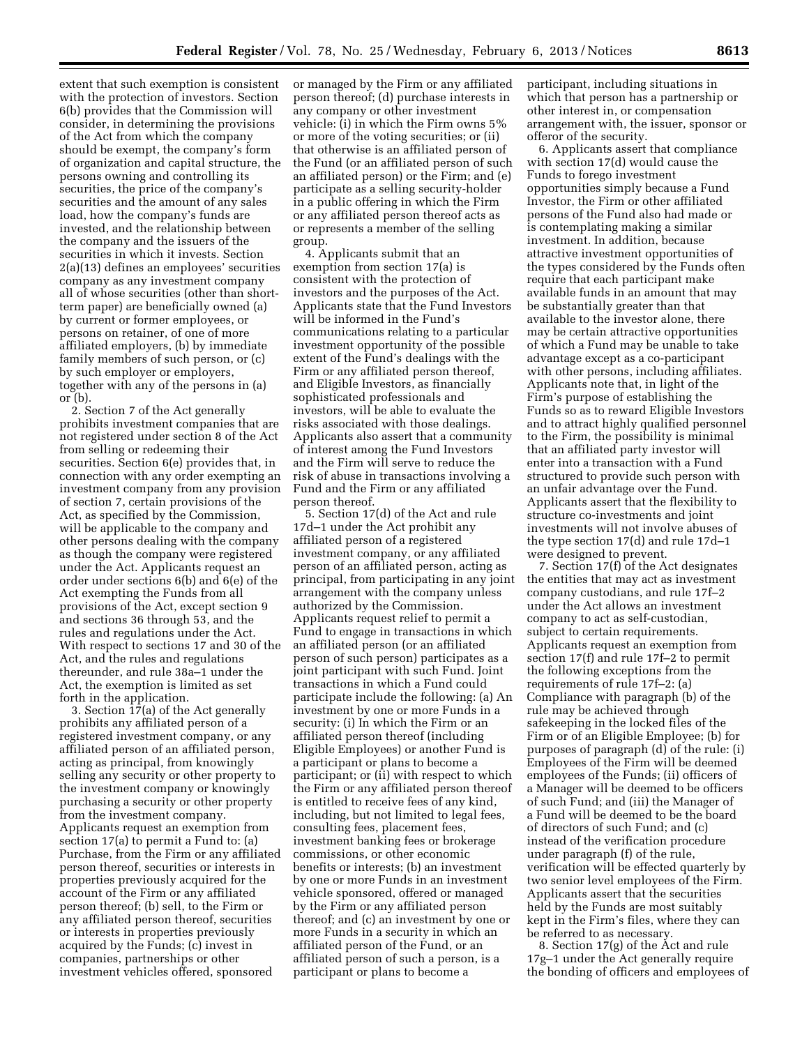extent that such exemption is consistent with the protection of investors. Section 6(b) provides that the Commission will consider, in determining the provisions of the Act from which the company should be exempt, the company's form of organization and capital structure, the persons owning and controlling its securities, the price of the company's securities and the amount of any sales load, how the company's funds are invested, and the relationship between the company and the issuers of the securities in which it invests. Section 2(a)(13) defines an employees' securities company as any investment company all of whose securities (other than shortterm paper) are beneficially owned (a) by current or former employees, or persons on retainer, of one of more affiliated employers, (b) by immediate family members of such person, or (c) by such employer or employers, together with any of the persons in (a) or (b).

2. Section 7 of the Act generally prohibits investment companies that are not registered under section 8 of the Act from selling or redeeming their securities. Section 6(e) provides that, in connection with any order exempting an investment company from any provision of section 7, certain provisions of the Act, as specified by the Commission, will be applicable to the company and other persons dealing with the company as though the company were registered under the Act. Applicants request an order under sections 6(b) and 6(e) of the Act exempting the Funds from all provisions of the Act, except section 9 and sections 36 through 53, and the rules and regulations under the Act. With respect to sections 17 and 30 of the Act, and the rules and regulations thereunder, and rule 38a–1 under the Act, the exemption is limited as set forth in the application.

3. Section  $17(a)$  of the Act generally prohibits any affiliated person of a registered investment company, or any affiliated person of an affiliated person, acting as principal, from knowingly selling any security or other property to the investment company or knowingly purchasing a security or other property from the investment company. Applicants request an exemption from section 17(a) to permit a Fund to: (a) Purchase, from the Firm or any affiliated person thereof, securities or interests in properties previously acquired for the account of the Firm or any affiliated person thereof; (b) sell, to the Firm or any affiliated person thereof, securities or interests in properties previously acquired by the Funds; (c) invest in companies, partnerships or other investment vehicles offered, sponsored

or managed by the Firm or any affiliated person thereof; (d) purchase interests in any company or other investment vehicle: (i) in which the Firm owns 5% or more of the voting securities; or (ii) that otherwise is an affiliated person of the Fund (or an affiliated person of such an affiliated person) or the Firm; and (e) participate as a selling security-holder in a public offering in which the Firm or any affiliated person thereof acts as or represents a member of the selling group.

4. Applicants submit that an exemption from section 17(a) is consistent with the protection of investors and the purposes of the Act. Applicants state that the Fund Investors will be informed in the Fund's communications relating to a particular investment opportunity of the possible extent of the Fund's dealings with the Firm or any affiliated person thereof, and Eligible Investors, as financially sophisticated professionals and investors, will be able to evaluate the risks associated with those dealings. Applicants also assert that a community of interest among the Fund Investors and the Firm will serve to reduce the risk of abuse in transactions involving a Fund and the Firm or any affiliated person thereof.

5. Section 17(d) of the Act and rule 17d–1 under the Act prohibit any affiliated person of a registered investment company, or any affiliated person of an affiliated person, acting as principal, from participating in any joint arrangement with the company unless authorized by the Commission. Applicants request relief to permit a Fund to engage in transactions in which an affiliated person (or an affiliated person of such person) participates as a joint participant with such Fund. Joint transactions in which a Fund could participate include the following: (a) An investment by one or more Funds in a security: (i) In which the Firm or an affiliated person thereof (including Eligible Employees) or another Fund is a participant or plans to become a participant; or (ii) with respect to which the Firm or any affiliated person thereof is entitled to receive fees of any kind, including, but not limited to legal fees, consulting fees, placement fees, investment banking fees or brokerage commissions, or other economic benefits or interests; (b) an investment by one or more Funds in an investment vehicle sponsored, offered or managed by the Firm or any affiliated person thereof; and (c) an investment by one or more Funds in a security in which an affiliated person of the Fund, or an affiliated person of such a person, is a participant or plans to become a

participant, including situations in which that person has a partnership or other interest in, or compensation arrangement with, the issuer, sponsor or offeror of the security.

6. Applicants assert that compliance with section 17(d) would cause the Funds to forego investment opportunities simply because a Fund Investor, the Firm or other affiliated persons of the Fund also had made or is contemplating making a similar investment. In addition, because attractive investment opportunities of the types considered by the Funds often require that each participant make available funds in an amount that may be substantially greater than that available to the investor alone, there may be certain attractive opportunities of which a Fund may be unable to take advantage except as a co-participant with other persons, including affiliates. Applicants note that, in light of the Firm's purpose of establishing the Funds so as to reward Eligible Investors and to attract highly qualified personnel to the Firm, the possibility is minimal that an affiliated party investor will enter into a transaction with a Fund structured to provide such person with an unfair advantage over the Fund. Applicants assert that the flexibility to structure co-investments and joint investments will not involve abuses of the type section 17(d) and rule 17d–1 were designed to prevent.

7. Section 17(f) of the Act designates the entities that may act as investment company custodians, and rule 17f–2 under the Act allows an investment company to act as self-custodian, subject to certain requirements. Applicants request an exemption from section 17(f) and rule 17f–2 to permit the following exceptions from the requirements of rule 17f–2: (a) Compliance with paragraph (b) of the rule may be achieved through safekeeping in the locked files of the Firm or of an Eligible Employee; (b) for purposes of paragraph (d) of the rule: (i) Employees of the Firm will be deemed employees of the Funds; (ii) officers of a Manager will be deemed to be officers of such Fund; and (iii) the Manager of a Fund will be deemed to be the board of directors of such Fund; and (c) instead of the verification procedure under paragraph (f) of the rule, verification will be effected quarterly by two senior level employees of the Firm. Applicants assert that the securities held by the Funds are most suitably kept in the Firm's files, where they can be referred to as necessary.

8. Section 17(g) of the Act and rule 17g–1 under the Act generally require the bonding of officers and employees of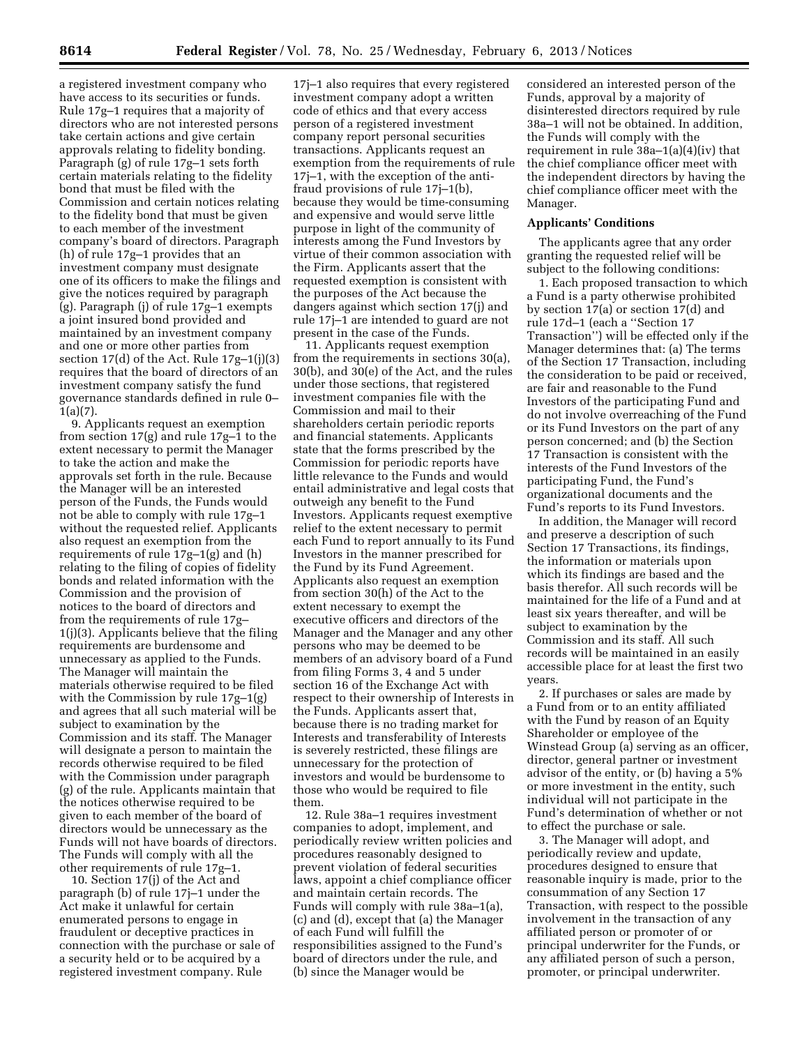a registered investment company who have access to its securities or funds. Rule 17g–1 requires that a majority of directors who are not interested persons take certain actions and give certain approvals relating to fidelity bonding. Paragraph (g) of rule 17g–1 sets forth certain materials relating to the fidelity bond that must be filed with the Commission and certain notices relating to the fidelity bond that must be given to each member of the investment company's board of directors. Paragraph (h) of rule 17g–1 provides that an investment company must designate one of its officers to make the filings and give the notices required by paragraph (g). Paragraph (j) of rule 17g–1 exempts a joint insured bond provided and maintained by an investment company and one or more other parties from section 17(d) of the Act. Rule 17g–1(j)(3) requires that the board of directors of an investment company satisfy the fund governance standards defined in rule 0– 1(a)(7).

9. Applicants request an exemption from section 17(g) and rule 17g–1 to the extent necessary to permit the Manager to take the action and make the approvals set forth in the rule. Because the Manager will be an interested person of the Funds, the Funds would not be able to comply with rule 17g–1 without the requested relief. Applicants also request an exemption from the requirements of rule 17g–1(g) and (h) relating to the filing of copies of fidelity bonds and related information with the Commission and the provision of notices to the board of directors and from the requirements of rule 17g– 1(j)(3). Applicants believe that the filing requirements are burdensome and unnecessary as applied to the Funds. The Manager will maintain the materials otherwise required to be filed with the Commission by rule 17g–1(g) and agrees that all such material will be subject to examination by the Commission and its staff. The Manager will designate a person to maintain the records otherwise required to be filed with the Commission under paragraph (g) of the rule. Applicants maintain that the notices otherwise required to be given to each member of the board of directors would be unnecessary as the Funds will not have boards of directors. The Funds will comply with all the other requirements of rule 17g–1.

10. Section 17(j) of the Act and paragraph (b) of rule 17j–1 under the Act make it unlawful for certain enumerated persons to engage in fraudulent or deceptive practices in connection with the purchase or sale of a security held or to be acquired by a registered investment company. Rule

17j–1 also requires that every registered investment company adopt a written code of ethics and that every access person of a registered investment company report personal securities transactions. Applicants request an exemption from the requirements of rule 17j–1, with the exception of the antifraud provisions of rule 17j–1(b), because they would be time-consuming and expensive and would serve little purpose in light of the community of interests among the Fund Investors by virtue of their common association with the Firm. Applicants assert that the requested exemption is consistent with the purposes of the Act because the dangers against which section 17(j) and rule 17j–1 are intended to guard are not present in the case of the Funds.

11. Applicants request exemption from the requirements in sections 30(a), 30(b), and 30(e) of the Act, and the rules under those sections, that registered investment companies file with the Commission and mail to their shareholders certain periodic reports and financial statements. Applicants state that the forms prescribed by the Commission for periodic reports have little relevance to the Funds and would entail administrative and legal costs that outweigh any benefit to the Fund Investors. Applicants request exemptive relief to the extent necessary to permit each Fund to report annually to its Fund Investors in the manner prescribed for the Fund by its Fund Agreement. Applicants also request an exemption from section 30(h) of the Act to the extent necessary to exempt the executive officers and directors of the Manager and the Manager and any other persons who may be deemed to be members of an advisory board of a Fund from filing Forms 3, 4 and 5 under section 16 of the Exchange Act with respect to their ownership of Interests in the Funds. Applicants assert that, because there is no trading market for Interests and transferability of Interests is severely restricted, these filings are unnecessary for the protection of investors and would be burdensome to those who would be required to file them.

12. Rule 38a–1 requires investment companies to adopt, implement, and periodically review written policies and procedures reasonably designed to prevent violation of federal securities laws, appoint a chief compliance officer and maintain certain records. The Funds will comply with rule 38a–1(a), (c) and (d), except that (a) the Manager of each Fund will fulfill the responsibilities assigned to the Fund's board of directors under the rule, and (b) since the Manager would be

considered an interested person of the Funds, approval by a majority of disinterested directors required by rule 38a–1 will not be obtained. In addition, the Funds will comply with the requirement in rule 38a–1(a)(4)(iv) that the chief compliance officer meet with the independent directors by having the chief compliance officer meet with the Manager.

## **Applicants' Conditions**

The applicants agree that any order granting the requested relief will be subject to the following conditions:

1. Each proposed transaction to which a Fund is a party otherwise prohibited by section 17(a) or section 17(d) and rule 17d–1 (each a ''Section 17 Transaction'') will be effected only if the Manager determines that: (a) The terms of the Section 17 Transaction, including the consideration to be paid or received, are fair and reasonable to the Fund Investors of the participating Fund and do not involve overreaching of the Fund or its Fund Investors on the part of any person concerned; and (b) the Section 17 Transaction is consistent with the interests of the Fund Investors of the participating Fund, the Fund's organizational documents and the Fund's reports to its Fund Investors.

In addition, the Manager will record and preserve a description of such Section 17 Transactions, its findings, the information or materials upon which its findings are based and the basis therefor. All such records will be maintained for the life of a Fund and at least six years thereafter, and will be subject to examination by the Commission and its staff. All such records will be maintained in an easily accessible place for at least the first two years.

2. If purchases or sales are made by a Fund from or to an entity affiliated with the Fund by reason of an Equity Shareholder or employee of the Winstead Group (a) serving as an officer, director, general partner or investment advisor of the entity, or (b) having a 5% or more investment in the entity, such individual will not participate in the Fund's determination of whether or not to effect the purchase or sale.

3. The Manager will adopt, and periodically review and update, procedures designed to ensure that reasonable inquiry is made, prior to the consummation of any Section 17 Transaction, with respect to the possible involvement in the transaction of any affiliated person or promoter of or principal underwriter for the Funds, or any affiliated person of such a person, promoter, or principal underwriter.